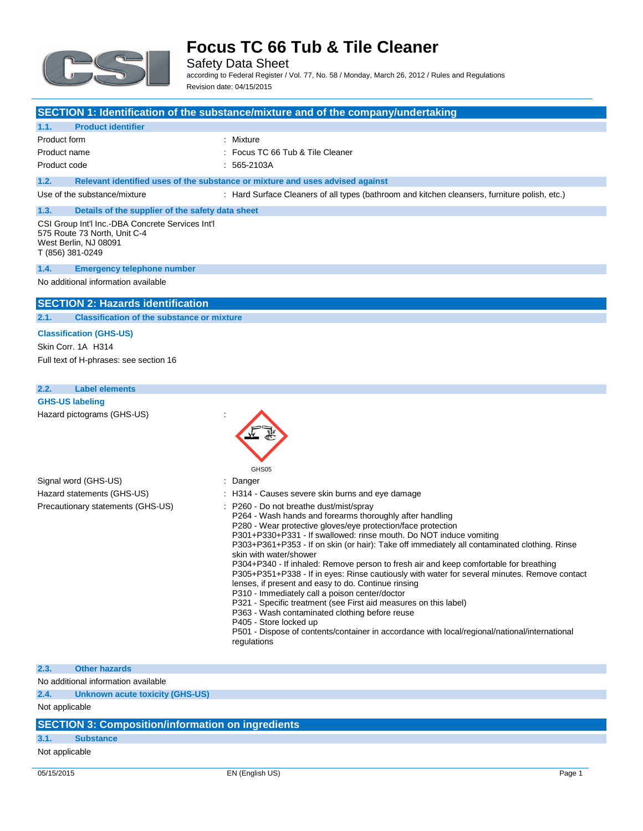

Safety Data Sheet

according to Federal Register / Vol. 77, No. 58 / Monday, March 26, 2012 / Rules and Regulations Revision date: 04/15/2015

## **SECTION 1: Identification of the substance/mixture and of the company/undertaking**

### **1.1. Product identifier**

Product form : Nixture Product name **Internal Contract COV** Focus TC 66 Tub & Tile Cleaner

Product code : 565-2103A

### **1.2. Relevant identified uses of the substance or mixture and uses advised against**

Use of the substance/mixture : Hard Surface Cleaners of all types (bathroom and kitchen cleansers, furniture polish, etc.)

#### **1.3. Details of the supplier of the safety data sheet** CSI Group Int'l Inc.-DBA Concrete Services Int'l 575 Route 73 North, Unit C-4

West Berlin, NJ 08091 T (856) 381-0249

#### **1.4. Emergency telephone number**

No additional information available

### **SECTION 2: Hazards identification**

### **2.1. Classification of the substance or mixture**

### **Classification (GHS-US)**

Skin Corr. 1A H314 Full text of H-phrases: see section 16

**2.2. Label elements GHS-US labeling** Hazard pictograms (GHS-US) :

|                                   | GHS05                                                                                                                                                                                                                                                                                                                                                                                                                                                                                                                                                                                                                                                                                                                                                                                                                                                                                                                                 |
|-----------------------------------|---------------------------------------------------------------------------------------------------------------------------------------------------------------------------------------------------------------------------------------------------------------------------------------------------------------------------------------------------------------------------------------------------------------------------------------------------------------------------------------------------------------------------------------------------------------------------------------------------------------------------------------------------------------------------------------------------------------------------------------------------------------------------------------------------------------------------------------------------------------------------------------------------------------------------------------|
| Signal word (GHS-US)              | : Danger                                                                                                                                                                                                                                                                                                                                                                                                                                                                                                                                                                                                                                                                                                                                                                                                                                                                                                                              |
| Hazard statements (GHS-US)        | : H314 - Causes severe skin burns and eye damage                                                                                                                                                                                                                                                                                                                                                                                                                                                                                                                                                                                                                                                                                                                                                                                                                                                                                      |
| Precautionary statements (GHS-US) | : P260 - Do not breathe dust/mist/spray<br>P264 - Wash hands and forearms thoroughly after handling<br>P280 - Wear protective gloves/eye protection/face protection<br>P301+P330+P331 - If swallowed: rinse mouth. Do NOT induce vomiting<br>P303+P361+P353 - If on skin (or hair): Take off immediately all contaminated clothing. Rinse<br>skin with water/shower<br>P304+P340 - If inhaled: Remove person to fresh air and keep comfortable for breathing<br>P305+P351+P338 - If in eyes: Rinse cautiously with water for several minutes. Remove contact<br>lenses, if present and easy to do. Continue rinsing<br>P310 - Immediately call a poison center/doctor<br>P321 - Specific treatment (see First aid measures on this label)<br>P363 - Wash contaminated clothing before reuse<br>P405 - Store locked up<br>P501 - Dispose of contents/container in accordance with local/regional/national/international<br>regulations |

#### **2.3. Other hazards**

No additional information available

**2.4. Unknown acute toxicity (GHS-US)**

Not applicable

## **SECTION 3: Composition/information on ingredients**

### **3.1. Substance**

Not applicable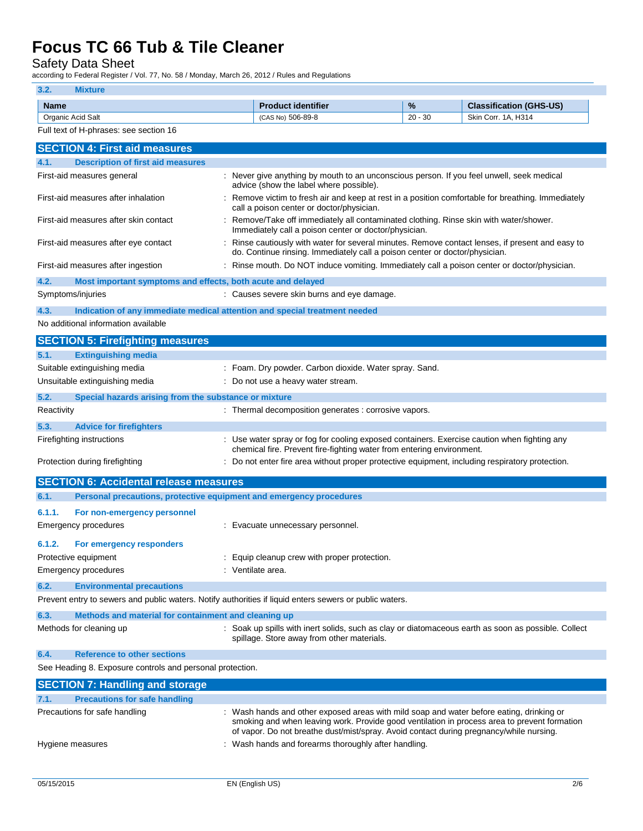Safety Data Sheet

according to Federal Register / Vol. 77, No. 58 / Monday, March 26, 2012 / Rules and Regulations

## **3.2. Mixture**

| <b>Name</b>            | <b>Product identifier</b> | %         | <b>Classification (GHS-US)</b> |
|------------------------|---------------------------|-----------|--------------------------------|
| : Acid Salt<br>Organic | 506-89-8<br>(CAS No)      | $20 - 30$ | 1A. H314<br>Skin (<br>Corr.    |

|            | Full text of H-phrases: see section 16                              |                                                                                                                                                                                 |
|------------|---------------------------------------------------------------------|---------------------------------------------------------------------------------------------------------------------------------------------------------------------------------|
|            | <b>SECTION 4: First aid measures</b>                                |                                                                                                                                                                                 |
| 4.1.       | <b>Description of first aid measures</b>                            |                                                                                                                                                                                 |
|            | First-aid measures general                                          | : Never give anything by mouth to an unconscious person. If you feel unwell, seek medical<br>advice (show the label where possible).                                            |
|            | First-aid measures after inhalation                                 | Remove victim to fresh air and keep at rest in a position comfortable for breathing. Immediately<br>call a poison center or doctor/physician.                                   |
|            | First-aid measures after skin contact                               | Remove/Take off immediately all contaminated clothing. Rinse skin with water/shower.<br>Immediately call a poison center or doctor/physician.                                   |
|            | First-aid measures after eye contact                                | : Rinse cautiously with water for several minutes. Remove contact lenses, if present and easy to<br>do. Continue rinsing. Immediately call a poison center or doctor/physician. |
|            | First-aid measures after ingestion                                  | : Rinse mouth. Do NOT induce vomiting. Immediately call a poison center or doctor/physician.                                                                                    |
| 4.2.       | Most important symptoms and effects, both acute and delayed         |                                                                                                                                                                                 |
|            | Symptoms/injuries                                                   | : Causes severe skin burns and eye damage.                                                                                                                                      |
| 4.3.       |                                                                     | Indication of any immediate medical attention and special treatment needed                                                                                                      |
|            | No additional information available                                 |                                                                                                                                                                                 |
|            | <b>SECTION 5: Firefighting measures</b>                             |                                                                                                                                                                                 |
| 5.1.       | <b>Extinguishing media</b>                                          |                                                                                                                                                                                 |
|            | Suitable extinguishing media                                        | : Foam. Dry powder. Carbon dioxide. Water spray. Sand.                                                                                                                          |
|            | Unsuitable extinguishing media                                      | : Do not use a heavy water stream.                                                                                                                                              |
| 5.2.       | Special hazards arising from the substance or mixture               |                                                                                                                                                                                 |
| Reactivity |                                                                     | : Thermal decomposition generates : corrosive vapors.                                                                                                                           |
| 5.3.       | <b>Advice for firefighters</b>                                      |                                                                                                                                                                                 |
|            | Firefighting instructions                                           | : Use water spray or fog for cooling exposed containers. Exercise caution when fighting any<br>chemical fire. Prevent fire-fighting water from entering environment.            |
|            | Protection during firefighting                                      | : Do not enter fire area without proper protective equipment, including respiratory protection.                                                                                 |
|            | <b>SECTION 6: Accidental release measures</b>                       |                                                                                                                                                                                 |
| 6.1.       | Personal precautions, protective equipment and emergency procedures |                                                                                                                                                                                 |
| 6.1.1.     | For non-emergency personnel                                         |                                                                                                                                                                                 |
|            | <b>Emergency procedures</b>                                         | : Evacuate unnecessary personnel.                                                                                                                                               |
| 6.1.2.     | For emergency responders                                            |                                                                                                                                                                                 |
|            | Protective equipment                                                | Equip cleanup crew with proper protection.                                                                                                                                      |
|            | Emergency procedures                                                | : Ventilate area.                                                                                                                                                               |
| 6.2.       | <b>Environmental precautions</b>                                    |                                                                                                                                                                                 |

Prevent entry to sewers and public waters. Notify authorities if liquid enters sewers or public waters.

| 6.3. | Methods and material for containment and cleaning up |  |  |
|------|------------------------------------------------------|--|--|
|      |                                                      |  |  |

| Methods for cleaning up | : Soak up spills with inert solids, such as clay or diatomaceous earth as soon as possible. Collect |
|-------------------------|-----------------------------------------------------------------------------------------------------|
|                         | spillage. Store away from other materials.                                                          |

**6.4. Reference to other sections**

See Heading 8. Exposure controls and personal protection.

| <b>SECTION 7: Handling and storage</b>       |                                                                                                                                                                                                                                                                                     |
|----------------------------------------------|-------------------------------------------------------------------------------------------------------------------------------------------------------------------------------------------------------------------------------------------------------------------------------------|
| 7.1.<br><b>Precautions for safe handling</b> |                                                                                                                                                                                                                                                                                     |
| Precautions for safe handling                | : Wash hands and other exposed areas with mild soap and water before eating, drinking or<br>smoking and when leaving work. Provide good ventilation in process area to prevent formation<br>of vapor. Do not breathe dust/mist/spray. Avoid contact during pregnancy/while nursing. |
| Hygiene measures                             | : Wash hands and forearms thoroughly after handling.                                                                                                                                                                                                                                |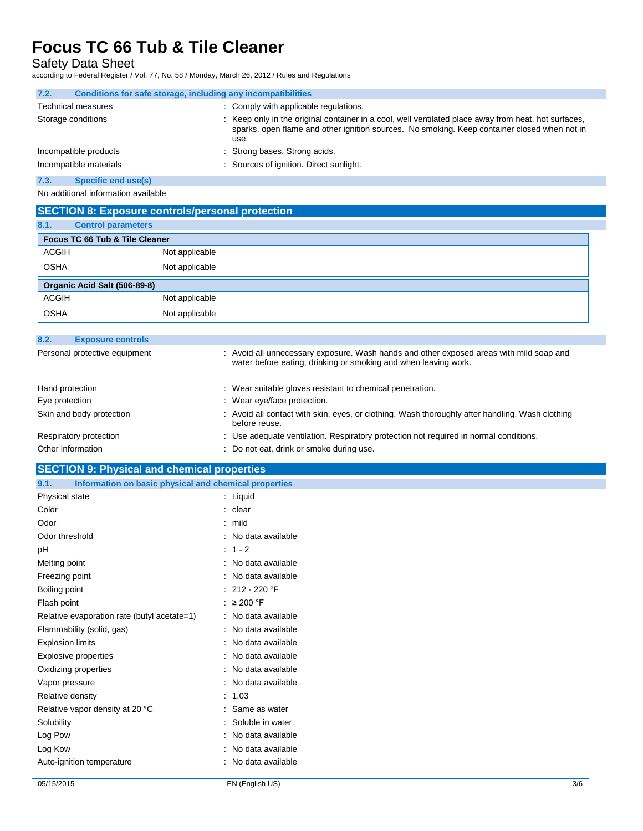Safety Data Sheet

according to Federal Register / Vol. 77, No. 58 / Monday, March 26, 2012 / Rules and Regulations

| 7.2.<br>Conditions for safe storage, including any incompatibilities |                                                                                                                                                                                                              |
|----------------------------------------------------------------------|--------------------------------------------------------------------------------------------------------------------------------------------------------------------------------------------------------------|
| <b>Technical measures</b>                                            | : Comply with applicable regulations.                                                                                                                                                                        |
| Storage conditions                                                   | : Keep only in the original container in a cool, well ventilated place away from heat, hot surfaces,<br>sparks, open flame and other ignition sources. No smoking. Keep container closed when not in<br>use. |
| Incompatible products                                                | : Strong bases. Strong acids.                                                                                                                                                                                |
| Incompatible materials                                               | : Sources of ignition. Direct sunlight.                                                                                                                                                                      |
| $ -$                                                                 |                                                                                                                                                                                                              |

#### **7.3. Specific end use(s)**

No additional information available

## **SECTION 8: Exposure controls/personal protection**

| 8.1.         | <b>Control parameters</b>      |                |
|--------------|--------------------------------|----------------|
|              | Focus TC 66 Tub & Tile Cleaner |                |
| <b>ACGIH</b> |                                | Not applicable |
| <b>OSHA</b>  |                                | Not applicable |
|              | Organic Acid Salt (506-89-8)   |                |
| <b>ACGIH</b> |                                | Not applicable |
| <b>OSHA</b>  |                                | Not applicable |

| 8.2.            | <b>Exposure controls</b>      |                                                                                                                                                            |
|-----------------|-------------------------------|------------------------------------------------------------------------------------------------------------------------------------------------------------|
|                 | Personal protective equipment | : Avoid all unnecessary exposure. Wash hands and other exposed areas with mild soap and<br>water before eating, drinking or smoking and when leaving work. |
| Hand protection |                               | : Wear suitable gloves resistant to chemical penetration.                                                                                                  |
| Eye protection  |                               | : Wear eye/face protection.                                                                                                                                |
|                 | Skin and body protection      | : Avoid all contact with skin, eyes, or clothing. Wash thoroughly after handling. Wash clothing<br>before reuse.                                           |
|                 | Respiratory protection        | : Use adequate ventilation. Respiratory protection not required in normal conditions.                                                                      |
|                 | Other information             | : Do not eat, drink or smoke during use.                                                                                                                   |

## **SECTION 9: Physical and chemical properties**

| Information on basic physical and chemical properties<br>9.1. |                         |
|---------------------------------------------------------------|-------------------------|
| Physical state                                                | : Liquid                |
| Color                                                         | : clear                 |
| Odor                                                          | : mild                  |
| Odor threshold                                                | : No data available     |
| pH                                                            | $: 1 - 2$               |
| Melting point                                                 | : No data available     |
| Freezing point                                                | : No data available     |
| Boiling point                                                 | : 212 - 220 $\degree$ F |
| Flash point                                                   | : $\geq 200$ °F         |
| Relative evaporation rate (butyl acetate=1)                   | : No data available     |
| Flammability (solid, gas)                                     | : No data available     |
| <b>Explosion limits</b>                                       | : No data available     |
| Explosive properties                                          | : No data available     |
| Oxidizing properties                                          | : No data available     |
| Vapor pressure                                                | : No data available     |
| Relative density                                              | : 1.03                  |
| Relative vapor density at 20 °C                               | : Same as water         |
| Solubility                                                    | : Soluble in water.     |
| Log Pow                                                       | : No data available     |
| Log Kow                                                       | : No data available     |
| Auto-ignition temperature                                     | : No data available     |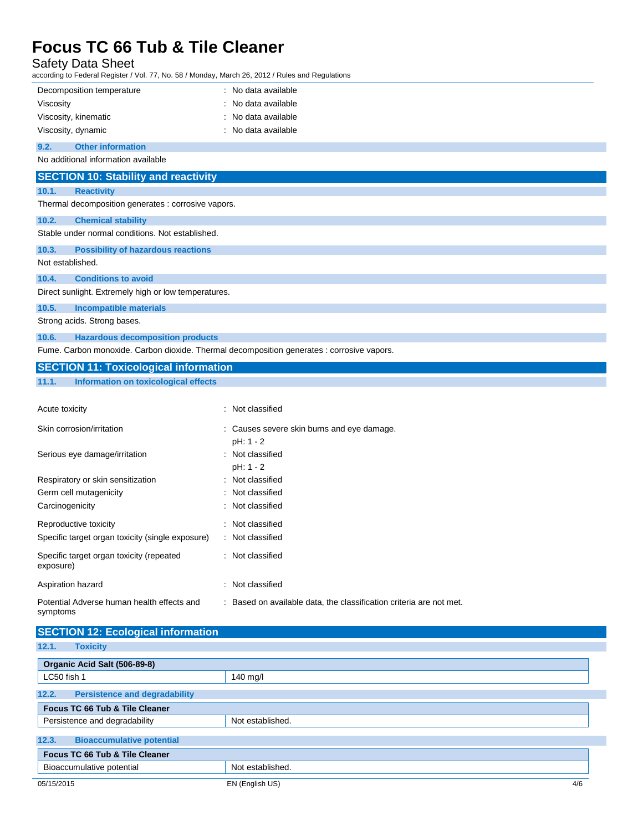## Safety Data Sheet

according to Federal Register / Vol. 77, No. 58 / Monday, March 26, 2012 / Rules and Regulations

| iccording to Federal Register / Vol. 77, No. 58 / Monday, March 26, 2012 / Rules and Regulations |                                                                     |
|--------------------------------------------------------------------------------------------------|---------------------------------------------------------------------|
| Decomposition temperature                                                                        | : No data available                                                 |
| Viscosity                                                                                        | No data available                                                   |
| Viscosity, kinematic                                                                             | No data available                                                   |
| Viscosity, dynamic                                                                               | : No data available                                                 |
| 9.2.<br><b>Other information</b>                                                                 |                                                                     |
| No additional information available                                                              |                                                                     |
| <b>SECTION 10: Stability and reactivity</b>                                                      |                                                                     |
| 10.1.<br><b>Reactivity</b>                                                                       |                                                                     |
| Thermal decomposition generates : corrosive vapors.                                              |                                                                     |
| 10.2.<br><b>Chemical stability</b>                                                               |                                                                     |
| Stable under normal conditions. Not established.                                                 |                                                                     |
| 10.3.<br><b>Possibility of hazardous reactions</b>                                               |                                                                     |
| Not established.                                                                                 |                                                                     |
| 10.4.<br><b>Conditions to avoid</b>                                                              |                                                                     |
| Direct sunlight. Extremely high or low temperatures.                                             |                                                                     |
| 10.5.<br><b>Incompatible materials</b>                                                           |                                                                     |
| Strong acids. Strong bases.                                                                      |                                                                     |
| <b>Hazardous decomposition products</b><br>10.6.                                                 |                                                                     |
| Fume. Carbon monoxide. Carbon dioxide. Thermal decomposition generates : corrosive vapors.       |                                                                     |
| <b>SECTION 11: Toxicological information</b>                                                     |                                                                     |
|                                                                                                  |                                                                     |
| 11.1.<br><b>Information on toxicological effects</b>                                             |                                                                     |
|                                                                                                  |                                                                     |
| Acute toxicity                                                                                   | : Not classified                                                    |
| Skin corrosion/irritation                                                                        | : Causes severe skin burns and eye damage.                          |
|                                                                                                  | pH: 1 - 2                                                           |
| Serious eye damage/irritation                                                                    | : Not classified                                                    |
|                                                                                                  | pH: 1 - 2                                                           |
| Respiratory or skin sensitization                                                                | : Not classified                                                    |
| Germ cell mutagenicity                                                                           | Not classified                                                      |
| Carcinogenicity                                                                                  | Not classified                                                      |
| Reproductive toxicity                                                                            | Not classified                                                      |
| Specific target organ toxicity (single exposure)                                                 | : Not classified                                                    |
| Specific target organ toxicity (repeated<br>exposure)                                            | : Not classified                                                    |
| Aspiration hazard                                                                                | : Not classified                                                    |
| Potential Adverse human health effects and<br>symptoms                                           | : Based on available data, the classification criteria are not met. |
| <b>SECTION 12: Ecological information</b>                                                        |                                                                     |
| 12.1.<br><b>Toxicity</b>                                                                         |                                                                     |

| 9.991119719149411109990077                    |                  |  |
|-----------------------------------------------|------------------|--|
| LC50 fish 1                                   | 140 mg/l         |  |
| 12.2.<br><b>Persistence and degradability</b> |                  |  |
| Focus TC 66 Tub & Tile Cleaner                |                  |  |
| Persistence and degradability                 | Not established. |  |
| 12.3.<br><b>Bioaccumulative potential</b>     |                  |  |
| Focus TC 66 Tub & Tile Cleaner                |                  |  |
| Bioaccumulative potential                     | Not established. |  |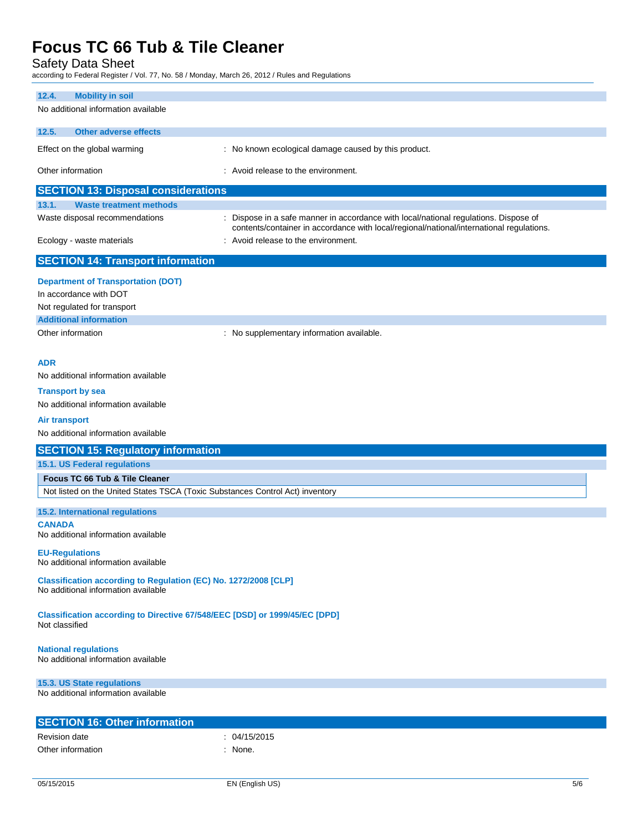Safety Data Sheet<br>according to Federal Register / Vol.

according to Federal Register / Vol. 77, No. 58 / Monday, March 26, 2012 / Rules and Regulations

| ccording to Federal Register / Vol. 77, NO. 307 Monday, March 20, 2012 / Rules and Regulations         |                                                                                                                                                                                  |  |
|--------------------------------------------------------------------------------------------------------|----------------------------------------------------------------------------------------------------------------------------------------------------------------------------------|--|
| 12.4.<br><b>Mobility in soil</b>                                                                       |                                                                                                                                                                                  |  |
| No additional information available                                                                    |                                                                                                                                                                                  |  |
| <b>Other adverse effects</b><br>12.5.                                                                  |                                                                                                                                                                                  |  |
| Effect on the global warming                                                                           | : No known ecological damage caused by this product.                                                                                                                             |  |
| Other information                                                                                      | : Avoid release to the environment.                                                                                                                                              |  |
| <b>SECTION 13: Disposal considerations</b>                                                             |                                                                                                                                                                                  |  |
| 13.1.<br><b>Waste treatment methods</b>                                                                |                                                                                                                                                                                  |  |
| Waste disposal recommendations                                                                         | : Dispose in a safe manner in accordance with local/national regulations. Dispose of<br>contents/container in accordance with local/regional/national/international regulations. |  |
| Ecology - waste materials                                                                              | : Avoid release to the environment.                                                                                                                                              |  |
| <b>SECTION 14: Transport information</b>                                                               |                                                                                                                                                                                  |  |
| <b>Department of Transportation (DOT)</b>                                                              |                                                                                                                                                                                  |  |
| In accordance with DOT                                                                                 |                                                                                                                                                                                  |  |
| Not regulated for transport                                                                            |                                                                                                                                                                                  |  |
| <b>Additional information</b>                                                                          |                                                                                                                                                                                  |  |
| Other information                                                                                      | : No supplementary information available.                                                                                                                                        |  |
|                                                                                                        |                                                                                                                                                                                  |  |
| ADR                                                                                                    |                                                                                                                                                                                  |  |
| No additional information available                                                                    |                                                                                                                                                                                  |  |
| <b>Transport by sea</b>                                                                                |                                                                                                                                                                                  |  |
| No additional information available                                                                    |                                                                                                                                                                                  |  |
| <b>Air transport</b>                                                                                   |                                                                                                                                                                                  |  |
| No additional information available                                                                    |                                                                                                                                                                                  |  |
| <b>SECTION 15: Regulatory information</b>                                                              |                                                                                                                                                                                  |  |
| <b>15.1. US Federal regulations</b>                                                                    |                                                                                                                                                                                  |  |
| Focus TC 66 Tub & Tile Cleaner                                                                         |                                                                                                                                                                                  |  |
| Not listed on the United States TSCA (Toxic Substances Control Act) inventory                          |                                                                                                                                                                                  |  |
| 15.2. International regulations                                                                        |                                                                                                                                                                                  |  |
| <b>CANADA</b>                                                                                          |                                                                                                                                                                                  |  |
| No additional information available                                                                    |                                                                                                                                                                                  |  |
| <b>EU-Regulations</b><br>No additional information available                                           |                                                                                                                                                                                  |  |
| Classification according to Regulation (EC) No. 1272/2008 [CLP]<br>No additional information available |                                                                                                                                                                                  |  |
| Classification according to Directive 67/548/EEC [DSD] or 1999/45/EC [DPD]<br>Not classified           |                                                                                                                                                                                  |  |
| <b>National regulations</b><br>No additional information available                                     |                                                                                                                                                                                  |  |
| 15.3. US State regulations<br>No additional information available                                      |                                                                                                                                                                                  |  |
| <b>SECTION 16: Other information</b>                                                                   |                                                                                                                                                                                  |  |
| Revision date                                                                                          | : 04/15/2015                                                                                                                                                                     |  |
| Other information                                                                                      | : None.                                                                                                                                                                          |  |